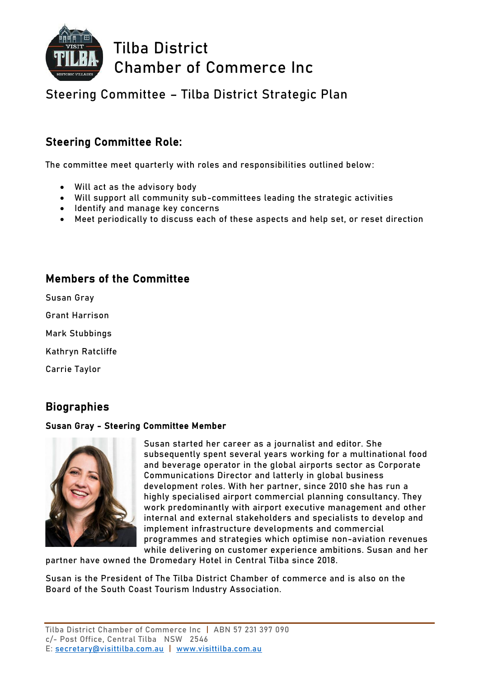

**Tilba District Chamber of Commerce Inc**

## **Steering Committee – Tilba District Strategic Plan**

## Steering Committee Role:

The committee meet quarterly with roles and responsibilities outlined below:

- Will act as the advisory body
- Will support all community sub-committees leading the strategic activities
- Identify and manage key concerns
- Meet periodically to discuss each of these aspects and help set, or reset direction

### Members of the Committee

Susan Gray

Grant Harrison

Mark Stubbings

Kathryn Ratcliffe

Carrie Taylor

## **Biographies**

#### Susan Gray - Steering Committee Member



Susan started her career as a journalist and editor. She subsequently spent several years working for a multinational food and beverage operator in the global airports sector as Corporate Communications Director and latterly in global business development roles. With her partner, since 2010 she has run a highly specialised airport commercial planning consultancy. They work predominantly with airport executive management and other internal and external stakeholders and specialists to develop and implement infrastructure developments and commercial programmes and strategies which optimise non-aviation revenues while delivering on customer experience ambitions. Susan and her

partner have owned the Dromedary Hotel in Central Tilba since 2018.

Susan is the President of The Tilba District Chamber of commerce and is also on the Board of the South Coast Tourism Industry Association.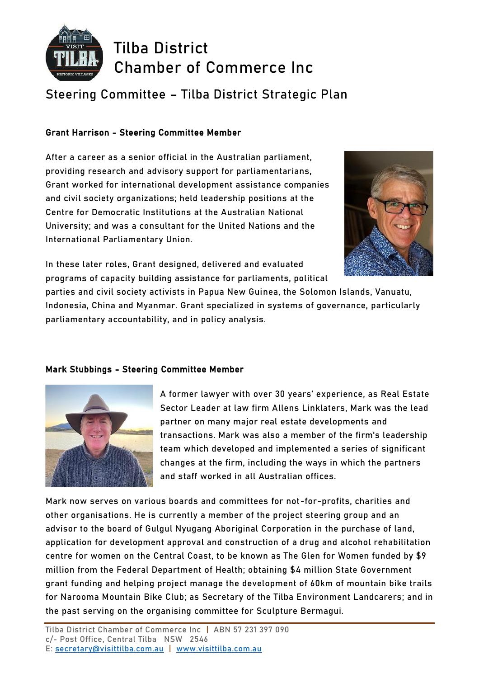

**Tilba District Chamber of Commerce Inc**

# **Steering Committee – Tilba District Strategic Plan**

#### Grant Harrison - Steering Committee Member

After a career as a senior official in the Australian parliament, providing research and advisory support for parliamentarians, Grant worked for international development assistance companies and civil society organizations; held leadership positions at the Centre for Democratic Institutions at the Australian National University; and was a consultant for the United Nations and the International Parliamentary Union.



In these later roles, Grant designed, delivered and evaluated programs of capacity building assistance for parliaments, political

parties and civil society activists in Papua New Guinea, the Solomon Islands, Vanuatu, Indonesia, China and Myanmar. Grant specialized in systems of governance, particularly parliamentary accountability, and in policy analysis.

#### Mark Stubbings - Steering Committee Member



A former lawyer with over 30 years' experience, as Real Estate Sector Leader at law firm Allens Linklaters, Mark was the lead partner on many major real estate developments and transactions. Mark was also a member of the firm's leadership team which developed and implemented a series of significant changes at the firm, including the ways in which the partners and staff worked in all Australian offices.

Mark now serves on various boards and committees for not-for-profits, charities and other organisations. He is currently a member of the project steering group and an advisor to the board of Gulgul Nyugang Aboriginal Corporation in the purchase of land, application for development approval and construction of a drug and alcohol rehabilitation centre for women on the Central Coast, to be known as The Glen for Women funded by \$9 million from the Federal Department of Health; obtaining \$4 million State Government grant funding and helping project manage the development of 60km of mountain bike trails for Narooma Mountain Bike Club; as Secretary of the Tilba Environment Landcarers; and in the past serving on the organising committee for Sculpture Bermagui.